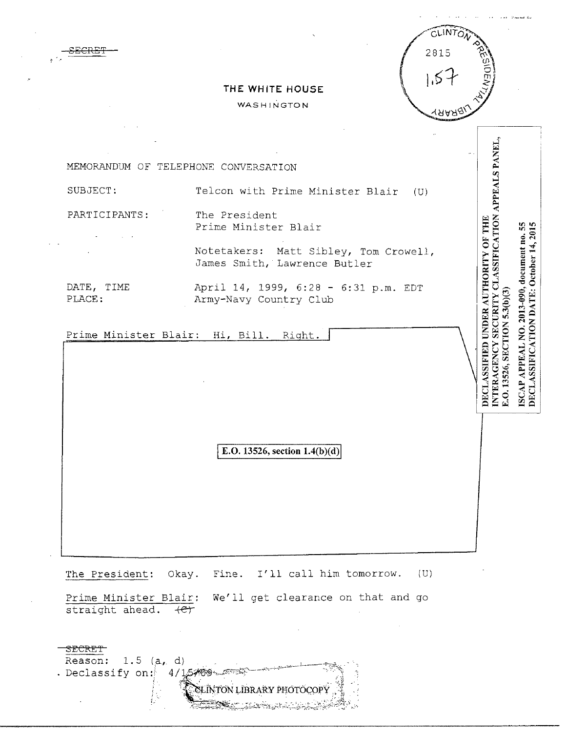

## THE WHITE HOUSE

WASHINGTON

INTERAGENCY SECURITY CLASSIFICATION APPEALS PANEL. MEMORANDUM OF TELEPHONE CONVERSATION SUBJECT: Telcon with Prime Minister Blair  $(U)$ PARTICIPANTS: The President DECLASSIFIED UNDER AUTHORITY OF THE ISCAP APPEAL NO. 2013-090, document no. 55 DECLASSIFICATION DATE: October 14, 2015 Prime Minister Blair Notetakers: Matt Sibley, Tom Crowell, James Smith, Lawrence Butler DATE, TIME April 14, 1999, 6:28 - 6:31 p.m. EDT E.O. 13526, SECTION 5.3(b)(3) Army-Navy Country Club PLACE: Prime Minister Blair: Hi, Bill. Right. E.O. 13526, section  $1.4(b)(d)$ 

The President: Okay. Fine. I'll call him tomorrow. (U)

We'll get clearance on that and go Prime Minister Blair: straight ahead. (e)

Reason: 1.5  $(a, d)$ . Declassify on: 4 / 1.5≯®9৲- কেলগ SLINTON LIBRARY PHOTOCOL